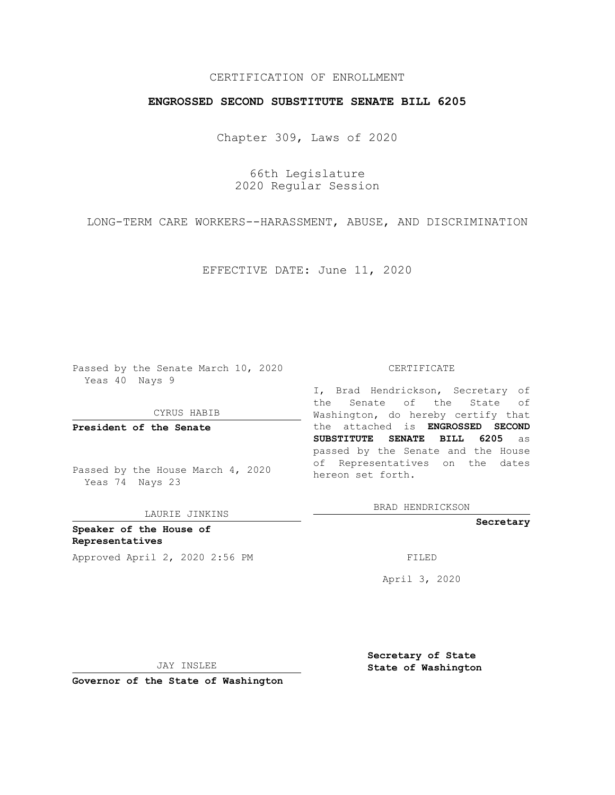## CERTIFICATION OF ENROLLMENT

## **ENGROSSED SECOND SUBSTITUTE SENATE BILL 6205**

Chapter 309, Laws of 2020

66th Legislature 2020 Regular Session

LONG-TERM CARE WORKERS--HARASSMENT, ABUSE, AND DISCRIMINATION

EFFECTIVE DATE: June 11, 2020

Passed by the Senate March 10, 2020 Yeas 40 Nays 9

CYRUS HABIB

**President of the Senate**

Passed by the House March 4, 2020 Yeas 74 Nays 23

LAURIE JINKINS

**Speaker of the House of Representatives** Approved April 2, 2020 2:56 PM

#### CERTIFICATE

I, Brad Hendrickson, Secretary of the Senate of the State of Washington, do hereby certify that the attached is **ENGROSSED SECOND SUBSTITUTE SENATE BILL 6205** as passed by the Senate and the House of Representatives on the dates hereon set forth.

BRAD HENDRICKSON

**Secretary**

April 3, 2020

JAY INSLEE

**Secretary of State State of Washington**

**Governor of the State of Washington**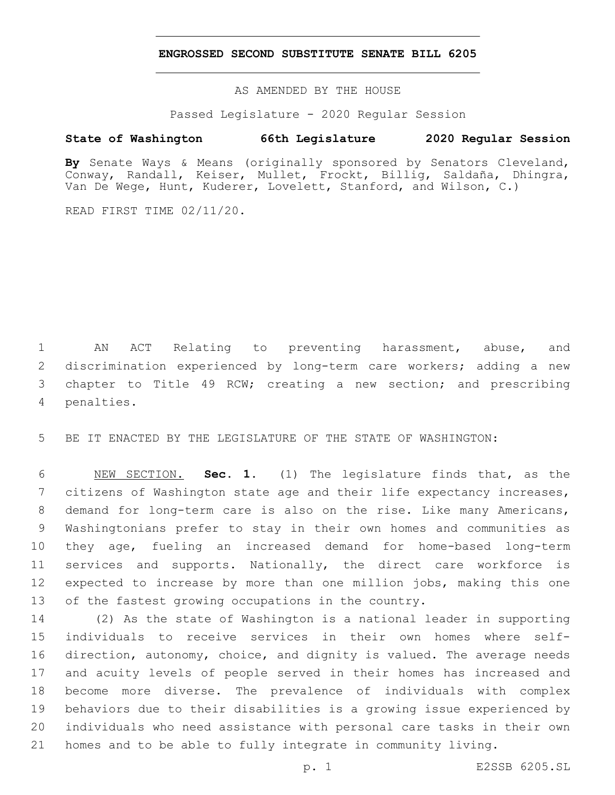### **ENGROSSED SECOND SUBSTITUTE SENATE BILL 6205**

AS AMENDED BY THE HOUSE

Passed Legislature - 2020 Regular Session

# **State of Washington 66th Legislature 2020 Regular Session**

**By** Senate Ways & Means (originally sponsored by Senators Cleveland, Conway, Randall, Keiser, Mullet, Frockt, Billig, Saldaña, Dhingra, Van De Wege, Hunt, Kuderer, Lovelett, Stanford, and Wilson, C.)

READ FIRST TIME 02/11/20.

 AN ACT Relating to preventing harassment, abuse, and discrimination experienced by long-term care workers; adding a new chapter to Title 49 RCW; creating a new section; and prescribing 4 penalties.

BE IT ENACTED BY THE LEGISLATURE OF THE STATE OF WASHINGTON:

 NEW SECTION. **Sec. 1.** (1) The legislature finds that, as the citizens of Washington state age and their life expectancy increases, demand for long-term care is also on the rise. Like many Americans, Washingtonians prefer to stay in their own homes and communities as they age, fueling an increased demand for home-based long-term services and supports. Nationally, the direct care workforce is expected to increase by more than one million jobs, making this one of the fastest growing occupations in the country.

 (2) As the state of Washington is a national leader in supporting individuals to receive services in their own homes where self- direction, autonomy, choice, and dignity is valued. The average needs and acuity levels of people served in their homes has increased and become more diverse. The prevalence of individuals with complex behaviors due to their disabilities is a growing issue experienced by individuals who need assistance with personal care tasks in their own homes and to be able to fully integrate in community living.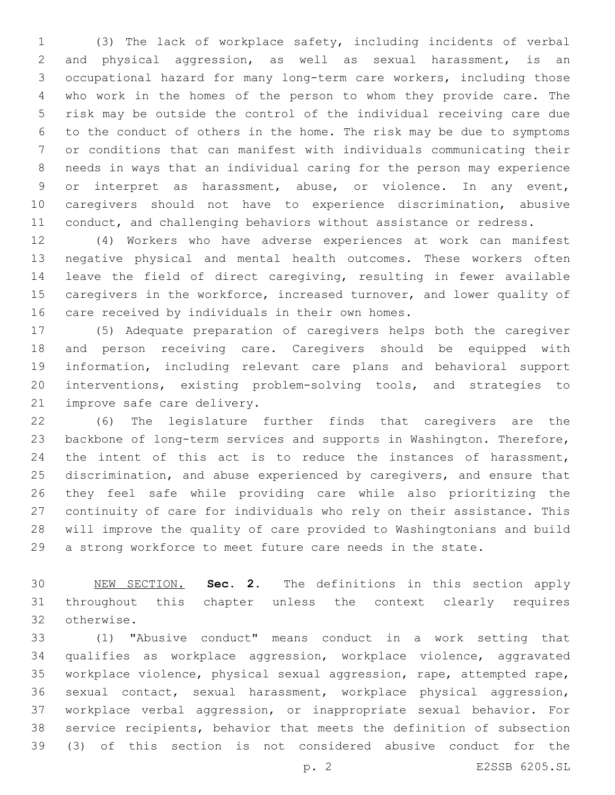(3) The lack of workplace safety, including incidents of verbal and physical aggression, as well as sexual harassment, is an occupational hazard for many long-term care workers, including those who work in the homes of the person to whom they provide care. The risk may be outside the control of the individual receiving care due to the conduct of others in the home. The risk may be due to symptoms or conditions that can manifest with individuals communicating their needs in ways that an individual caring for the person may experience or interpret as harassment, abuse, or violence. In any event, caregivers should not have to experience discrimination, abusive 11 conduct, and challenging behaviors without assistance or redress.

 (4) Workers who have adverse experiences at work can manifest negative physical and mental health outcomes. These workers often leave the field of direct caregiving, resulting in fewer available caregivers in the workforce, increased turnover, and lower quality of 16 care received by individuals in their own homes.

 (5) Adequate preparation of caregivers helps both the caregiver and person receiving care. Caregivers should be equipped with information, including relevant care plans and behavioral support interventions, existing problem-solving tools, and strategies to 21 improve safe care delivery.

 (6) The legislature further finds that caregivers are the backbone of long-term services and supports in Washington. Therefore, 24 the intent of this act is to reduce the instances of harassment, discrimination, and abuse experienced by caregivers, and ensure that they feel safe while providing care while also prioritizing the continuity of care for individuals who rely on their assistance. This will improve the quality of care provided to Washingtonians and build a strong workforce to meet future care needs in the state.

 NEW SECTION. **Sec. 2.** The definitions in this section apply throughout this chapter unless the context clearly requires 32 otherwise.

 (1) "Abusive conduct" means conduct in a work setting that qualifies as workplace aggression, workplace violence, aggravated workplace violence, physical sexual aggression, rape, attempted rape, sexual contact, sexual harassment, workplace physical aggression, workplace verbal aggression, or inappropriate sexual behavior. For service recipients, behavior that meets the definition of subsection (3) of this section is not considered abusive conduct for the

p. 2 E2SSB 6205.SL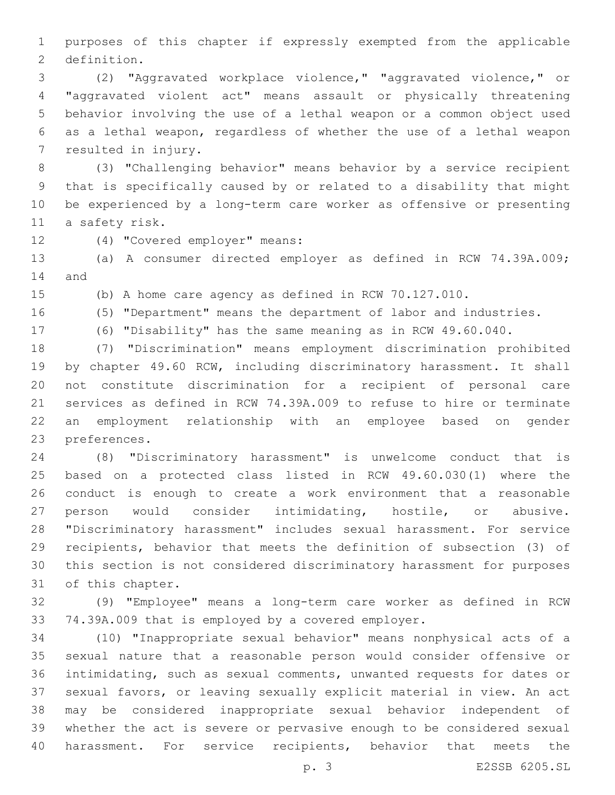purposes of this chapter if expressly exempted from the applicable 2 definition.

 (2) "Aggravated workplace violence," "aggravated violence," or "aggravated violent act" means assault or physically threatening behavior involving the use of a lethal weapon or a common object used as a lethal weapon, regardless of whether the use of a lethal weapon 7 resulted in injury.

 (3) "Challenging behavior" means behavior by a service recipient that is specifically caused by or related to a disability that might be experienced by a long-term care worker as offensive or presenting 11 a safety risk.

12 (4) "Covered employer" means:

 (a) A consumer directed employer as defined in RCW 74.39A.009; 14 and

(b) A home care agency as defined in RCW 70.127.010.

(5) "Department" means the department of labor and industries.

(6) "Disability" has the same meaning as in RCW 49.60.040.

 (7) "Discrimination" means employment discrimination prohibited by chapter 49.60 RCW, including discriminatory harassment. It shall not constitute discrimination for a recipient of personal care services as defined in RCW 74.39A.009 to refuse to hire or terminate an employment relationship with an employee based on gender 23 preferences.

 (8) "Discriminatory harassment" is unwelcome conduct that is based on a protected class listed in RCW 49.60.030(1) where the conduct is enough to create a work environment that a reasonable person would consider intimidating, hostile, or abusive. "Discriminatory harassment" includes sexual harassment. For service recipients, behavior that meets the definition of subsection (3) of this section is not considered discriminatory harassment for purposes 31 of this chapter.

 (9) "Employee" means a long-term care worker as defined in RCW 74.39A.009 that is employed by a covered employer.

 (10) "Inappropriate sexual behavior" means nonphysical acts of a sexual nature that a reasonable person would consider offensive or intimidating, such as sexual comments, unwanted requests for dates or sexual favors, or leaving sexually explicit material in view. An act may be considered inappropriate sexual behavior independent of whether the act is severe or pervasive enough to be considered sexual harassment. For service recipients, behavior that meets the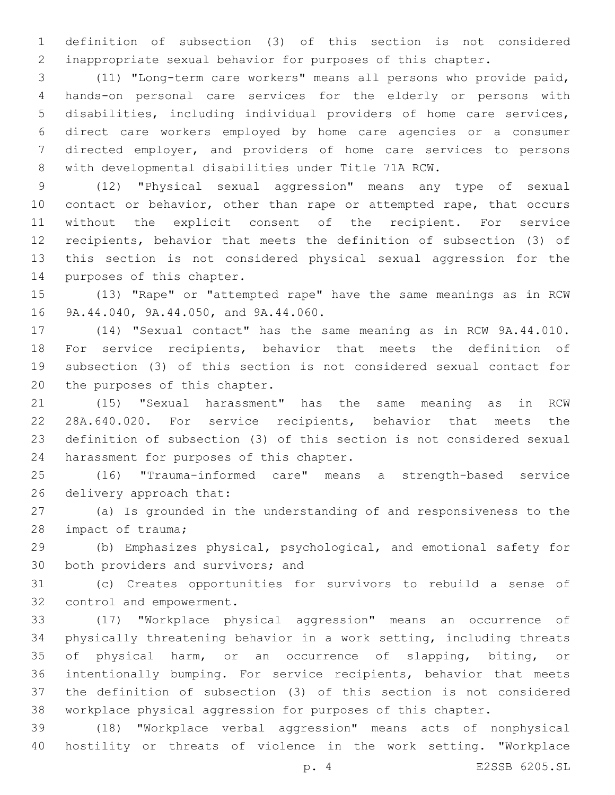definition of subsection (3) of this section is not considered inappropriate sexual behavior for purposes of this chapter.

 (11) "Long-term care workers" means all persons who provide paid, hands-on personal care services for the elderly or persons with disabilities, including individual providers of home care services, direct care workers employed by home care agencies or a consumer directed employer, and providers of home care services to persons with developmental disabilities under Title 71A RCW.

 (12) "Physical sexual aggression" means any type of sexual 10 contact or behavior, other than rape or attempted rape, that occurs without the explicit consent of the recipient. For service recipients, behavior that meets the definition of subsection (3) of this section is not considered physical sexual aggression for the 14 purposes of this chapter.

 (13) "Rape" or "attempted rape" have the same meanings as in RCW 16 9A.44.040, 9A.44.050, and 9A.44.060.

 (14) "Sexual contact" has the same meaning as in RCW 9A.44.010. For service recipients, behavior that meets the definition of subsection (3) of this section is not considered sexual contact for 20 the purposes of this chapter.

 (15) "Sexual harassment" has the same meaning as in RCW 28A.640.020. For service recipients, behavior that meets the definition of subsection (3) of this section is not considered sexual 24 harassment for purposes of this chapter.

 (16) "Trauma-informed care" means a strength-based service 26 delivery approach that:

 (a) Is grounded in the understanding of and responsiveness to the 28 impact of trauma;

 (b) Emphasizes physical, psychological, and emotional safety for 30 both providers and survivors; and

 (c) Creates opportunities for survivors to rebuild a sense of 32 control and empowerment.

 (17) "Workplace physical aggression" means an occurrence of physically threatening behavior in a work setting, including threats of physical harm, or an occurrence of slapping, biting, or intentionally bumping. For service recipients, behavior that meets the definition of subsection (3) of this section is not considered workplace physical aggression for purposes of this chapter.

 (18) "Workplace verbal aggression" means acts of nonphysical hostility or threats of violence in the work setting. "Workplace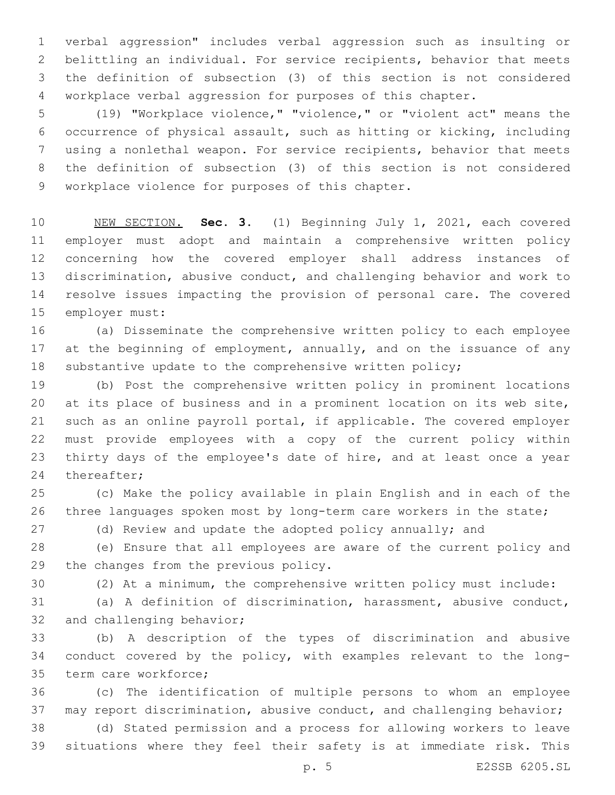verbal aggression" includes verbal aggression such as insulting or belittling an individual. For service recipients, behavior that meets the definition of subsection (3) of this section is not considered workplace verbal aggression for purposes of this chapter.

 (19) "Workplace violence," "violence," or "violent act" means the occurrence of physical assault, such as hitting or kicking, including using a nonlethal weapon. For service recipients, behavior that meets the definition of subsection (3) of this section is not considered 9 workplace violence for purposes of this chapter.

 NEW SECTION. **Sec. 3.** (1) Beginning July 1, 2021, each covered employer must adopt and maintain a comprehensive written policy concerning how the covered employer shall address instances of discrimination, abusive conduct, and challenging behavior and work to resolve issues impacting the provision of personal care. The covered employer must:

 (a) Disseminate the comprehensive written policy to each employee 17 at the beginning of employment, annually, and on the issuance of any substantive update to the comprehensive written policy;

 (b) Post the comprehensive written policy in prominent locations at its place of business and in a prominent location on its web site, such as an online payroll portal, if applicable. The covered employer must provide employees with a copy of the current policy within thirty days of the employee's date of hire, and at least once a year 24 thereafter;

 (c) Make the policy available in plain English and in each of the three languages spoken most by long-term care workers in the state;

(d) Review and update the adopted policy annually; and

 (e) Ensure that all employees are aware of the current policy and 29 the changes from the previous policy.

(2) At a minimum, the comprehensive written policy must include:

 (a) A definition of discrimination, harassment, abusive conduct, 32 and challenging behavior;

 (b) A description of the types of discrimination and abusive conduct covered by the policy, with examples relevant to the long-35 term care workforce;

 (c) The identification of multiple persons to whom an employee may report discrimination, abusive conduct, and challenging behavior;

 (d) Stated permission and a process for allowing workers to leave situations where they feel their safety is at immediate risk. This

p. 5 E2SSB 6205.SL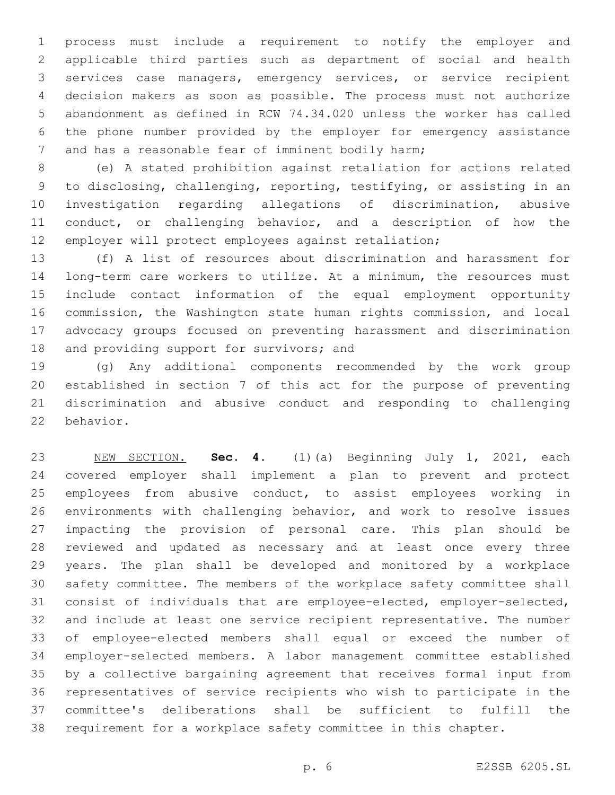process must include a requirement to notify the employer and applicable third parties such as department of social and health services case managers, emergency services, or service recipient decision makers as soon as possible. The process must not authorize abandonment as defined in RCW 74.34.020 unless the worker has called the phone number provided by the employer for emergency assistance 7 and has a reasonable fear of imminent bodily harm;

 (e) A stated prohibition against retaliation for actions related to disclosing, challenging, reporting, testifying, or assisting in an investigation regarding allegations of discrimination, abusive conduct, or challenging behavior, and a description of how the employer will protect employees against retaliation;

 (f) A list of resources about discrimination and harassment for long-term care workers to utilize. At a minimum, the resources must include contact information of the equal employment opportunity commission, the Washington state human rights commission, and local advocacy groups focused on preventing harassment and discrimination 18 and providing support for survivors; and

 (g) Any additional components recommended by the work group established in section 7 of this act for the purpose of preventing discrimination and abusive conduct and responding to challenging 22 behavior.

 NEW SECTION. **Sec. 4.** (1)(a) Beginning July 1, 2021, each covered employer shall implement a plan to prevent and protect employees from abusive conduct, to assist employees working in environments with challenging behavior, and work to resolve issues impacting the provision of personal care. This plan should be reviewed and updated as necessary and at least once every three years. The plan shall be developed and monitored by a workplace safety committee. The members of the workplace safety committee shall consist of individuals that are employee-elected, employer-selected, and include at least one service recipient representative. The number of employee-elected members shall equal or exceed the number of employer-selected members. A labor management committee established by a collective bargaining agreement that receives formal input from representatives of service recipients who wish to participate in the committee's deliberations shall be sufficient to fulfill the requirement for a workplace safety committee in this chapter.

p. 6 E2SSB 6205.SL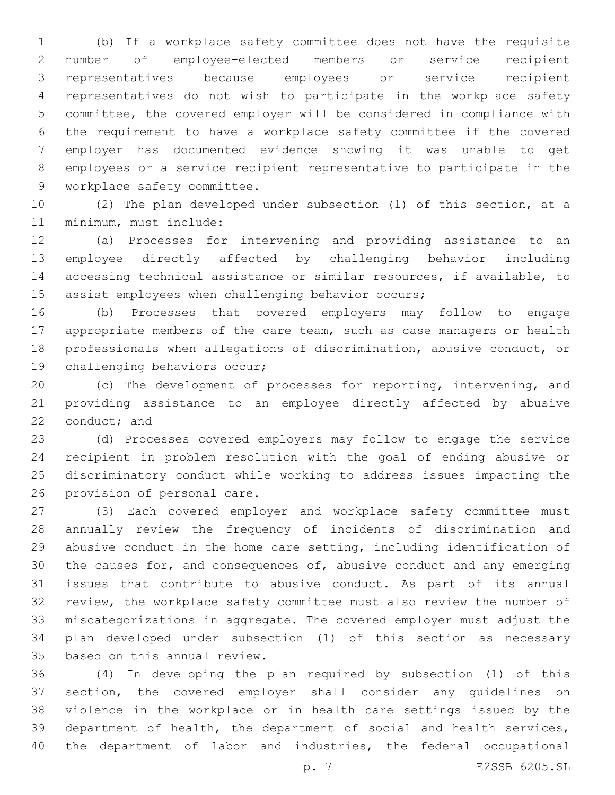(b) If a workplace safety committee does not have the requisite number of employee-elected members or service recipient representatives because employees or service recipient representatives do not wish to participate in the workplace safety committee, the covered employer will be considered in compliance with the requirement to have a workplace safety committee if the covered employer has documented evidence showing it was unable to get employees or a service recipient representative to participate in the 9 workplace safety committee.

 (2) The plan developed under subsection (1) of this section, at a 11 minimum, must include:

 (a) Processes for intervening and providing assistance to an employee directly affected by challenging behavior including accessing technical assistance or similar resources, if available, to 15 assist employees when challenging behavior occurs;

 (b) Processes that covered employers may follow to engage appropriate members of the care team, such as case managers or health professionals when allegations of discrimination, abusive conduct, or 19 challenging behaviors occur;

 (c) The development of processes for reporting, intervening, and providing assistance to an employee directly affected by abusive 22 conduct; and

 (d) Processes covered employers may follow to engage the service recipient in problem resolution with the goal of ending abusive or discriminatory conduct while working to address issues impacting the 26 provision of personal care.

 (3) Each covered employer and workplace safety committee must annually review the frequency of incidents of discrimination and abusive conduct in the home care setting, including identification of the causes for, and consequences of, abusive conduct and any emerging issues that contribute to abusive conduct. As part of its annual review, the workplace safety committee must also review the number of miscategorizations in aggregate. The covered employer must adjust the plan developed under subsection (1) of this section as necessary 35 based on this annual review.

 (4) In developing the plan required by subsection (1) of this section, the covered employer shall consider any guidelines on violence in the workplace or in health care settings issued by the department of health, the department of social and health services, the department of labor and industries, the federal occupational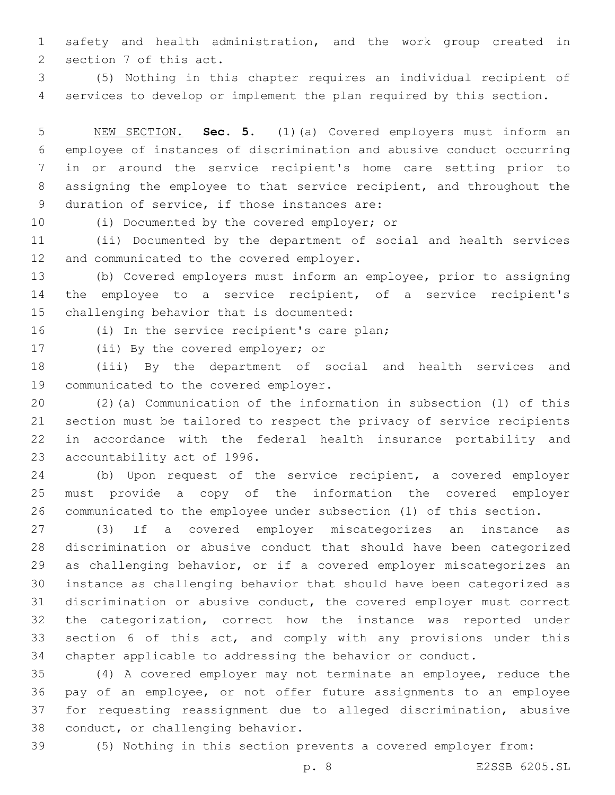safety and health administration, and the work group created in 2 section 7 of this act.

 (5) Nothing in this chapter requires an individual recipient of services to develop or implement the plan required by this section.

 NEW SECTION. **Sec. 5.** (1)(a) Covered employers must inform an employee of instances of discrimination and abusive conduct occurring in or around the service recipient's home care setting prior to assigning the employee to that service recipient, and throughout the duration of service, if those instances are:

10 (i) Documented by the covered employer; or

 (ii) Documented by the department of social and health services 12 and communicated to the covered employer.

 (b) Covered employers must inform an employee, prior to assigning the employee to a service recipient, of a service recipient's 15 challenging behavior that is documented:

16 (i) In the service recipient's care plan;

17 (ii) By the covered employer; or

 (iii) By the department of social and health services and 19 communicated to the covered employer.

 (2)(a) Communication of the information in subsection (1) of this section must be tailored to respect the privacy of service recipients in accordance with the federal health insurance portability and 23 accountability act of 1996.

 (b) Upon request of the service recipient, a covered employer must provide a copy of the information the covered employer communicated to the employee under subsection (1) of this section.

 (3) If a covered employer miscategorizes an instance as discrimination or abusive conduct that should have been categorized as challenging behavior, or if a covered employer miscategorizes an instance as challenging behavior that should have been categorized as discrimination or abusive conduct, the covered employer must correct the categorization, correct how the instance was reported under section 6 of this act, and comply with any provisions under this chapter applicable to addressing the behavior or conduct.

 (4) A covered employer may not terminate an employee, reduce the pay of an employee, or not offer future assignments to an employee for requesting reassignment due to alleged discrimination, abusive 38 conduct, or challenging behavior.

(5) Nothing in this section prevents a covered employer from: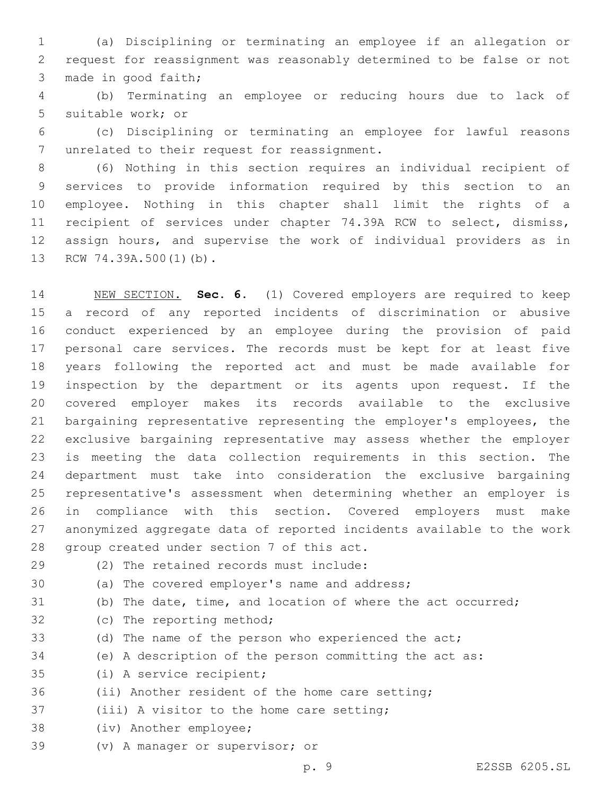(a) Disciplining or terminating an employee if an allegation or request for reassignment was reasonably determined to be false or not 3 made in good faith;

 (b) Terminating an employee or reducing hours due to lack of 5 suitable work; or

 (c) Disciplining or terminating an employee for lawful reasons 7 unrelated to their request for reassignment.

 (6) Nothing in this section requires an individual recipient of services to provide information required by this section to an employee. Nothing in this chapter shall limit the rights of a 11 recipient of services under chapter 74.39A RCW to select, dismiss, assign hours, and supervise the work of individual providers as in 13 RCW 74.39A.500(1)(b).

 NEW SECTION. **Sec. 6.** (1) Covered employers are required to keep a record of any reported incidents of discrimination or abusive conduct experienced by an employee during the provision of paid personal care services. The records must be kept for at least five years following the reported act and must be made available for inspection by the department or its agents upon request. If the covered employer makes its records available to the exclusive bargaining representative representing the employer's employees, the exclusive bargaining representative may assess whether the employer is meeting the data collection requirements in this section. The department must take into consideration the exclusive bargaining representative's assessment when determining whether an employer is in compliance with this section. Covered employers must make anonymized aggregate data of reported incidents available to the work group created under section 7 of this act.

(2) The retained records must include:29

30 (a) The covered employer's name and address;

(b) The date, time, and location of where the act occurred;

32 (c) The reporting method;

(d) The name of the person who experienced the act;

(e) A description of the person committing the act as:

35 (i) A service recipient;

- (ii) Another resident of the home care setting;
- 37 (iii) A visitor to the home care setting;
- 38 (iv) Another employee;
- 39 (v) A manager or supervisor; or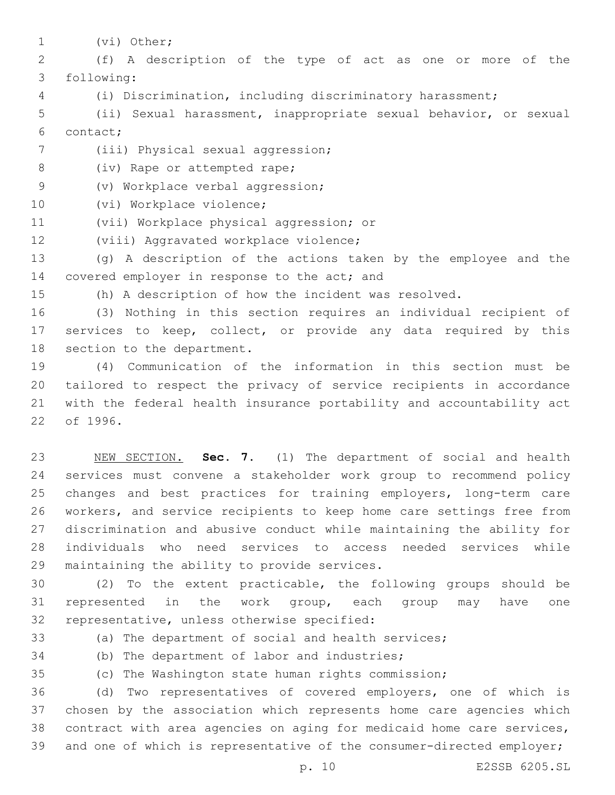1 (vi) Other;

2 (f) A description of the type of act as one or more of the following:3

4 (i) Discrimination, including discriminatory harassment;

5 (ii) Sexual harassment, inappropriate sexual behavior, or sexual contact;6

- 7 (iii) Physical sexual aggression;
- 8 (iv) Rape or attempted rape;
- 9 (v) Workplace verbal aggression;
- 10 (vi) Workplace violence;
- 11 (vii) Workplace physical aggression; or
- 12 (viii) Aggravated workplace violence;

13 (g) A description of the actions taken by the employee and the 14 covered employer in response to the act; and

15 (h) A description of how the incident was resolved.

16 (3) Nothing in this section requires an individual recipient of 17 services to keep, collect, or provide any data required by this 18 section to the department.

 (4) Communication of the information in this section must be tailored to respect the privacy of service recipients in accordance with the federal health insurance portability and accountability act 22 of 1996.

 NEW SECTION. **Sec. 7.** (1) The department of social and health services must convene a stakeholder work group to recommend policy changes and best practices for training employers, long-term care workers, and service recipients to keep home care settings free from discrimination and abusive conduct while maintaining the ability for individuals who need services to access needed services while maintaining the ability to provide services.

30 (2) To the extent practicable, the following groups should be 31 represented in the work group, each group may have one 32 representative, unless otherwise specified:

33 (a) The department of social and health services; 34 (b) The department of labor and industries;

35 (c) The Washington state human rights commission;

 (d) Two representatives of covered employers, one of which is chosen by the association which represents home care agencies which contract with area agencies on aging for medicaid home care services, 39 and one of which is representative of the consumer-directed employer;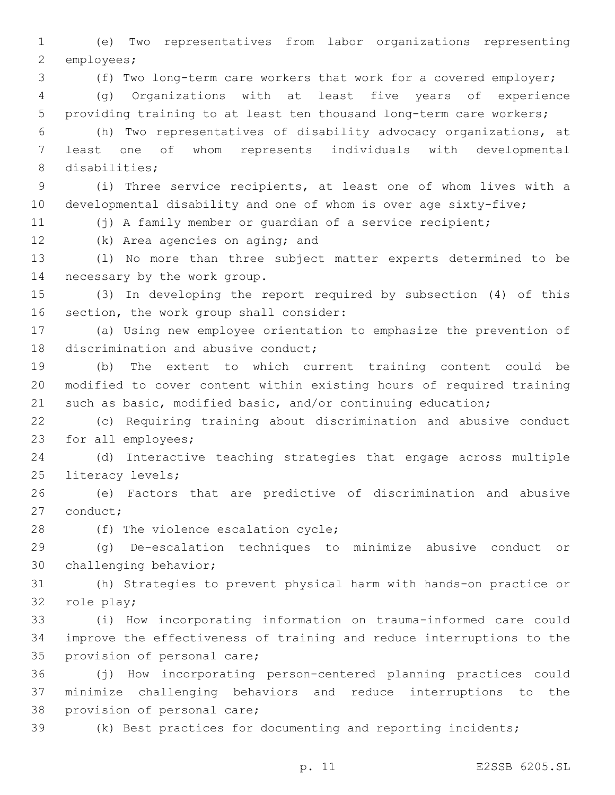1 (e) Two representatives from labor organizations representing 2 employees;

3 (f) Two long-term care workers that work for a covered employer;

4 (g) Organizations with at least five years of experience 5 providing training to at least ten thousand long-term care workers;

6 (h) Two representatives of disability advocacy organizations, at 7 least one of whom represents individuals with developmental 8 disabilities;

9 (i) Three service recipients, at least one of whom lives with a 10 developmental disability and one of whom is over age sixty-five;

11 (j) A family member or quardian of a service recipient;

12 (k) Area agencies on aging; and

13 (l) No more than three subject matter experts determined to be 14 necessary by the work group.

15 (3) In developing the report required by subsection (4) of this 16 section, the work group shall consider:

17 (a) Using new employee orientation to emphasize the prevention of 18 discrimination and abusive conduct;

19 (b) The extent to which current training content could be 20 modified to cover content within existing hours of required training 21 such as basic, modified basic, and/or continuing education;

22 (c) Requiring training about discrimination and abusive conduct 23 for all employees;

24 (d) Interactive teaching strategies that engage across multiple 25 literacy levels;

26 (e) Factors that are predictive of discrimination and abusive 27 conduct;

28 (f) The violence escalation cycle;

29 (g) De-escalation techniques to minimize abusive conduct or 30 challenging behavior;

31 (h) Strategies to prevent physical harm with hands-on practice or 32 role play;

33 (i) How incorporating information on trauma-informed care could 34 improve the effectiveness of training and reduce interruptions to the 35 provision of personal care;

36 (j) How incorporating person-centered planning practices could 37 minimize challenging behaviors and reduce interruptions to the 38 provision of personal care;

39 (k) Best practices for documenting and reporting incidents;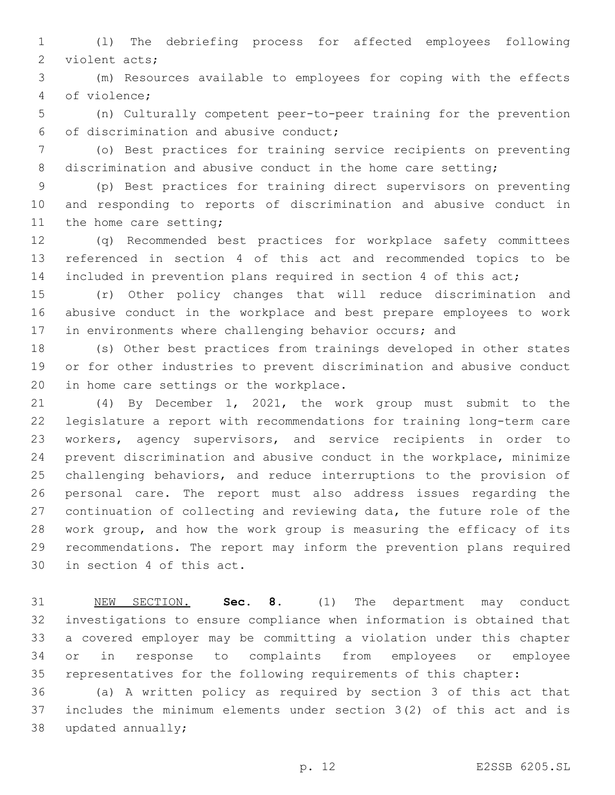(l) The debriefing process for affected employees following 2 violent acts;

 (m) Resources available to employees for coping with the effects 4 of violence;

 (n) Culturally competent peer-to-peer training for the prevention of discrimination and abusive conduct;6

 (o) Best practices for training service recipients on preventing 8 discrimination and abusive conduct in the home care setting;

 (p) Best practices for training direct supervisors on preventing and responding to reports of discrimination and abusive conduct in 11 the home care setting;

 (q) Recommended best practices for workplace safety committees referenced in section 4 of this act and recommended topics to be included in prevention plans required in section 4 of this act;

 (r) Other policy changes that will reduce discrimination and abusive conduct in the workplace and best prepare employees to work in environments where challenging behavior occurs; and

 (s) Other best practices from trainings developed in other states or for other industries to prevent discrimination and abusive conduct 20 in home care settings or the workplace.

 (4) By December 1, 2021, the work group must submit to the legislature a report with recommendations for training long-term care workers, agency supervisors, and service recipients in order to prevent discrimination and abusive conduct in the workplace, minimize challenging behaviors, and reduce interruptions to the provision of personal care. The report must also address issues regarding the continuation of collecting and reviewing data, the future role of the work group, and how the work group is measuring the efficacy of its recommendations. The report may inform the prevention plans required 30 in section 4 of this act.

 NEW SECTION. **Sec. 8.** (1) The department may conduct investigations to ensure compliance when information is obtained that a covered employer may be committing a violation under this chapter or in response to complaints from employees or employee representatives for the following requirements of this chapter:

 (a) A written policy as required by section 3 of this act that includes the minimum elements under section 3(2) of this act and is 38 updated annually;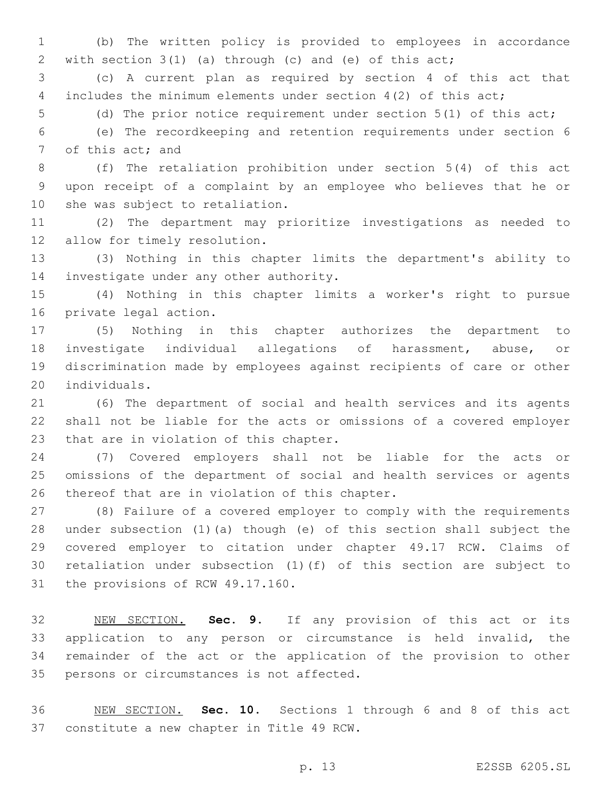(b) The written policy is provided to employees in accordance with section 3(1) (a) through (c) and (e) of this act;

 (c) A current plan as required by section 4 of this act that includes the minimum elements under section 4(2) of this act;

(d) The prior notice requirement under section 5(1) of this act;

 (e) The recordkeeping and retention requirements under section 6 7 of this act; and

 (f) The retaliation prohibition under section 5(4) of this act upon receipt of a complaint by an employee who believes that he or 10 she was subject to retaliation.

 (2) The department may prioritize investigations as needed to 12 allow for timely resolution.

 (3) Nothing in this chapter limits the department's ability to 14 investigate under any other authority.

 (4) Nothing in this chapter limits a worker's right to pursue 16 private legal action.

 (5) Nothing in this chapter authorizes the department to investigate individual allegations of harassment, abuse, or discrimination made by employees against recipients of care or other 20 individuals.

 (6) The department of social and health services and its agents shall not be liable for the acts or omissions of a covered employer 23 that are in violation of this chapter.

 (7) Covered employers shall not be liable for the acts or omissions of the department of social and health services or agents 26 thereof that are in violation of this chapter.

 (8) Failure of a covered employer to comply with the requirements under subsection (1)(a) though (e) of this section shall subject the covered employer to citation under chapter 49.17 RCW. Claims of retaliation under subsection (1)(f) of this section are subject to 31 the provisions of RCW 49.17.160.

 NEW SECTION. **Sec. 9.** If any provision of this act or its application to any person or circumstance is held invalid, the remainder of the act or the application of the provision to other persons or circumstances is not affected.

 NEW SECTION. **Sec. 10.** Sections 1 through 6 and 8 of this act constitute a new chapter in Title 49 RCW.